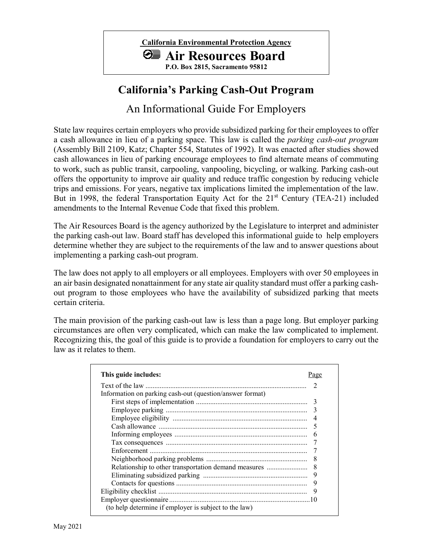

# **California's Parking Cash-Out Program**

An Informational Guide For Employers

State law requires certain employers who provide subsidized parking for their employees to offer a cash allowance in lieu of a parking space. This law is called the *parking cash-out program*  (Assembly Bill 2109, Katz; Chapter 554, Statutes of 1992). It was enacted after studies showed cash allowances in lieu of parking encourage employees to find alternate means of commuting to work, such as public transit, carpooling, vanpooling, bicycling, or walking. Parking cash-out offers the opportunity to improve air quality and reduce traffic congestion by reducing vehicle trips and emissions. For years, negative tax implications limited the implementation of the law. But in 1998, the federal Transportation Equity Act for the 21<sup>st</sup> Century (TEA-21) included amendments to the Internal Revenue Code that fixed this problem.

The Air Resources Board is the agency authorized by the Legislature to interpret and administer the parking cash-out law. Board staff has developed this informational guide to help employers determine whether they are subject to the requirements of the law and to answer questions about implementing a parking cash-out program.

The law does not apply to all employers or all employees. Employers with over 50 employees in an air basin designated nonattainment for any state air quality standard must offer a parking cashout program to those employees who have the availability of subsidized parking that meets certain criteria.

The main provision of the parking cash-out law is less than a page long. But employer parking circumstances are often very complicated, which can make the law complicated to implement. Recognizing this, the goal of this guide is to provide a foundation for employers to carry out the law as it relates to them.

| This guide includes:                                     | Page |
|----------------------------------------------------------|------|
|                                                          |      |
| Information on parking cash-out (question/answer format) |      |
|                                                          | 3    |
|                                                          |      |
|                                                          |      |
|                                                          |      |
|                                                          |      |
|                                                          |      |
|                                                          |      |
|                                                          |      |
| Relationship to other transportation demand measures     |      |
|                                                          | 9    |
|                                                          | 9    |
|                                                          |      |
|                                                          |      |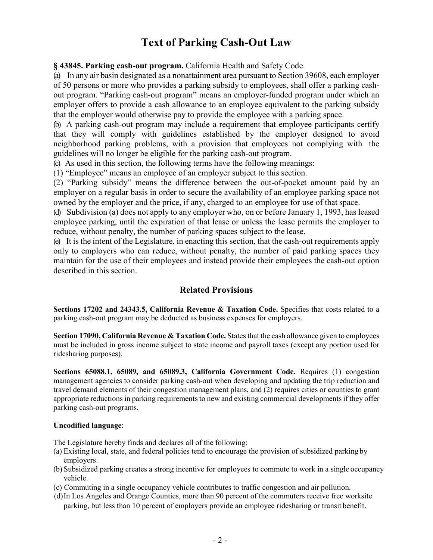# **Text of Parking Cash-Out Law**

**§ 43845. Parking cash-out program.** California Health and Safety Code.

(a) In any air basin designated as a nonattainment area pursuant to Section 39608, each employer of 50 persons or more who provides a parking subsidy to employees, shall offer a parking cashout program. "Parking cash-out program" means an employer-funded program under which an employer offers to provide a cash allowance to an employee equivalent to the parking subsidy that the employer would otherwise pay to provide the employee with a parking space.

(b) A parking cash-out program may include a requirement that employee participants certify that they will comply with guidelines established by the employer designed to avoid neighborhood parking problems, with a provision that employees not complying with the guidelines will no longer be eligible for the parking cash-out program.

(c) As used in this section, the following terms have the following meanings:

(1) "Employee" means an employee of an employer subject to this section.

(2) "Parking subsidy" means the difference between the out-of-pocket amount paid by an employer on a regular basis in order to secure the availability of an employee parking space not owned by the employer and the price, if any, charged to an employee for use of that space.

(d) Subdivision (a) does not apply to any employer who, on or before January 1, 1993, has leased employee parking, until the expiration of that lease or unless the lease permits the employer to reduce, without penalty, the number of parking spaces subject to the lease.

(e) It is the intent of the Legislature, in enacting this section, that the cash-out requirements apply only to employers who can reduce, without penalty, the number of paid parking spaces they maintain for the use of their employees and instead provide their employees the cash-out option described in this section.

### **Related Provisions**

**Sections 17202 and 24343.5, California Revenue & Taxation Code. Specifies that costs related to a** parking cash-out program may be deducted as business expenses for employers.

**Section 17090, California Revenue & Taxation Code.** States that the cash allowance given to employees must be included in gross income subject to state income and payroll taxes (except any portion used for ridesharing purposes).

**Sections 65088.1, 65089, and 65089.3, California Government Code.** Requires (1) congestion management agencies to consider parking cash-out when developing and updating the trip reduction and travel demand elements of their congestion management plans, and (2) requires cities or counties to grant appropriate reductions in parking requirements to new and existing commercial developments if they offer parking cash-out programs.

#### **Uncodified language**:

The Legislature hereby finds and declares all of the following:

- (a) Existing local, state, and federal policies tend to encourage the provision of subsidized parking by employers.
- (b) Subsidized parking creates a strong incentive for employees to commute to work in a single occupancy vehicle.
- (c) Commuting in a single occupancy vehicle contributes to traffic congestion and air pollution.
- (d)In Los Angeles and Orange Counties, more than 90 percent of the commuters receive free worksite parking, but less than 10 percent of employers provide an employee ridesharing or transit benefit.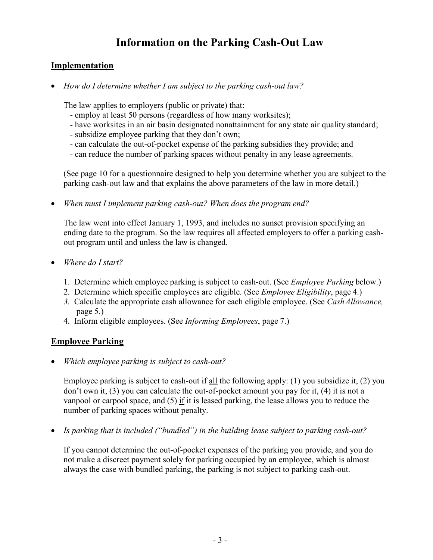# **Information on the Parking Cash-Out Law**

### **Implementation**

• *How do I determine whether I am subject to the parking cash-out law?*

The law applies to employers (public or private) that:

- employ at least 50 persons (regardless of how many worksites);
- have worksites in an air basin designated nonattainment for any state air quality standard;
- subsidize employee parking that they don't own;
- can calculate the out-of-pocket expense of the parking subsidies they provide; and
- can reduce the number of parking spaces without penalty in any lease agreements.

(See page 10 for a questionnaire designed to help you determine whether you are subject to the parking cash-out law and that explains the above parameters of the law in more detail.)

• *When must I implement parking cash-out? When does the program end?* 

The law went into effect January 1, 1993, and includes no sunset provision specifying an ending date to the program. So the law requires all affected employers to offer a parking cashout program until and unless the law is changed.

- *Where do I start?*
	- 1. Determine which employee parking is subject to cash-out. (See *Employee Parking* below.)
	- 2. Determine which specific employees are eligible. (See *Employee Eligibility*, page 4.)
	- *3.* Calculate the appropriate cash allowance for each eligible employee. (See *CashAllowance,* page 5.)
	- 4. Inform eligible employees. (See *Informing Employees*, page 7.)

## **Employee Parking**

• *Which employee parking is subject to cash-out?*

Employee parking is subject to cash-out if all the following apply: (1) you subsidize it, (2) you don't own it, (3) you can calculate the out-of-pocket amount you pay for it, (4) it is not a vanpool or carpool space, and (5) if it is leased parking, the lease allows you to reduce the number of parking spaces without penalty.

• *Is parking that is included ("bundled") in the building lease subject to parking cash-out?* 

If you cannot determine the out-of-pocket expenses of the parking you provide, and you do not make a discreet payment solely for parking occupied by an employee, which is almost always the case with bundled parking, the parking is not subject to parking cash-out.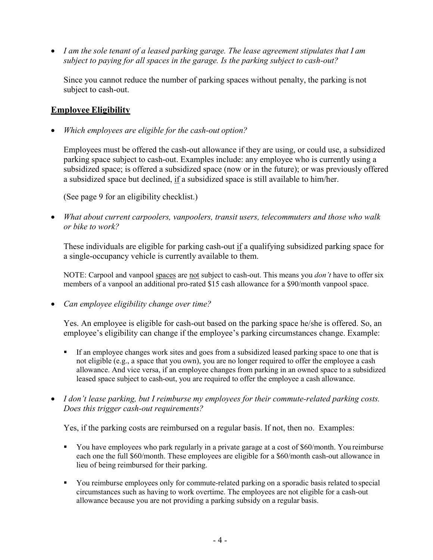• *I am the sole tenant of a leased parking garage. The lease agreement stipulates that I am subject to paying for all spaces in the garage. Is the parking subject to cash-out?*

Since you cannot reduce the number of parking spaces without penalty, the parking is not subject to cash-out.

### **Employee Eligibility**

• *Which employees are eligible for the cash-out option?*

Employees must be offered the cash-out allowance if they are using, or could use, a subsidized parking space subject to cash-out. Examples include: any employee who is currently using a subsidized space; is offered a subsidized space (now or in the future); or was previously offered a subsidized space but declined, if a subsidized space is still available to him/her.

(See page 9 for an eligibility checklist.)

• *What about current carpoolers, vanpoolers, transit users, telecommuters and those who walk or bike to work?*

These individuals are eligible for parking cash-out if a qualifying subsidized parking space for a single-occupancy vehicle is currently available to them.

NOTE: Carpool and vanpool spaces are not subject to cash-out. This means you *don't* have to offer six members of a vanpool an additional pro-rated \$15 cash allowance for a \$90/month vanpool space.

• *Can employee eligibility change over time?*

Yes. An employee is eligible for cash-out based on the parking space he/she is offered. So, an employee's eligibility can change if the employee's parking circumstances change. Example:

- If an employee changes work sites and goes from a subsidized leased parking space to one that is not eligible (e.g., a space that you own), you are no longer required to offer the employee a cash allowance. And vice versa, if an employee changes from parking in an owned space to a subsidized leased space subject to cash-out, you are required to offer the employee a cash allowance.
- *I don't lease parking, but I reimburse my employees for their commute-related parking costs. Does this trigger cash-out requirements?*

Yes, if the parking costs are reimbursed on a regular basis. If not, then no. Examples:

- You have employees who park regularly in a private garage at a cost of \$60/month. You reimburse each one the full \$60/month. These employees are eligible for a \$60/month cash-out allowance in lieu of being reimbursed for their parking.
- You reimburse employees only for commute-related parking on a sporadic basis related to special circumstances such as having to work overtime. The employees are not eligible for a cash-out allowance because you are not providing a parking subsidy on a regular basis.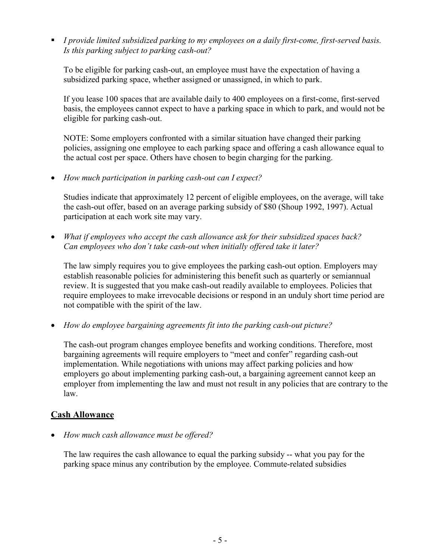*I provide limited subsidized parking to my employees on a daily first-come, first-served basis. Is this parking subject to parking cash-out?*

To be eligible for parking cash-out, an employee must have the expectation of having a subsidized parking space, whether assigned or unassigned, in which to park.

If you lease 100 spaces that are available daily to 400 employees on a first-come, first-served basis, the employees cannot expect to have a parking space in which to park, and would not be eligible for parking cash-out.

NOTE: Some employers confronted with a similar situation have changed their parking policies, assigning one employee to each parking space and offering a cash allowance equal to the actual cost per space. Others have chosen to begin charging for the parking.

• *How much participation in parking cash-out can I expect?*

Studies indicate that approximately 12 percent of eligible employees, on the average, will take the cash-out offer, based on an average parking subsidy of \$80 (Shoup 1992, 1997). Actual participation at each work site may vary.

• *What if employees who accept the cash allowance ask for their subsidized spaces back? Can employees who don't take cash-out when initially offered take it later?*

The law simply requires you to give employees the parking cash-out option. Employers may establish reasonable policies for administering this benefit such as quarterly or semiannual review. It is suggested that you make cash-out readily available to employees. Policies that require employees to make irrevocable decisions or respond in an unduly short time period are not compatible with the spirit of the law.

• *How do employee bargaining agreements fit into the parking cash-out picture?*

The cash-out program changes employee benefits and working conditions. Therefore, most bargaining agreements will require employers to "meet and confer" regarding cash-out implementation. While negotiations with unions may affect parking policies and how employers go about implementing parking cash-out, a bargaining agreement cannot keep an employer from implementing the law and must not result in any policies that are contrary to the law.

### **Cash Allowance**

• *How much cash allowance must be offered?*

The law requires the cash allowance to equal the parking subsidy -- what you pay for the parking space minus any contribution by the employee. Commute-related subsidies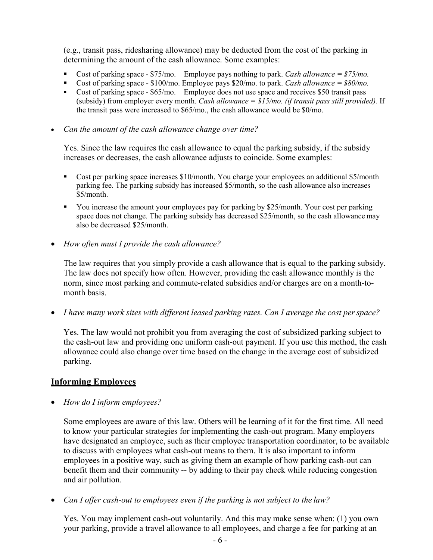(e.g., transit pass, ridesharing allowance) may be deducted from the cost of the parking in determining the amount of the cash allowance. Some examples:

- Cost of parking space \$75/mo. Employee pays nothing to park. *Cash allowance = \$75/mo.*
- Cost of parking space \$100/mo. Employee pays \$20/mo. to park. *Cash allowance* = \$80/mo.
- Cost of parking space \$65/mo. Employee does not use space and receives \$50 transit pass (subsidy) from employer every month. *Cash allowance = \$15/mo. (if transit pass still provided).* If the transit pass were increased to \$65/mo., the cash allowance would be \$0/mo.

• *Can the amount of the cash allowance change over time?*

Yes. Since the law requires the cash allowance to equal the parking subsidy, if the subsidy increases or decreases, the cash allowance adjusts to coincide. Some examples:

- Cost per parking space increases \$10/month. You charge your employees an additional \$5/month parking fee. The parking subsidy has increased \$5/month, so the cash allowance also increases \$5/month.
- You increase the amount your employees pay for parking by \$25/month. Your cost per parking space does not change. The parking subsidy has decreased \$25/month, so the cash allowance may also be decreased \$25/month.
- *How often must I provide the cash allowance?*

The law requires that you simply provide a cash allowance that is equal to the parking subsidy. The law does not specify how often. However, providing the cash allowance monthly is the norm, since most parking and commute-related subsidies and/or charges are on a month-tomonth basis.

• *I have many work sites with different leased parking rates. Can I average the cost perspace?*

Yes. The law would not prohibit you from averaging the cost of subsidized parking subject to the cash-out law and providing one uniform cash-out payment. If you use this method, the cash allowance could also change over time based on the change in the average cost of subsidized parking.

### **Informing Employees**

• *How do I inform employees?*

Some employees are aware of this law. Others will be learning of it for the first time. All need to know your particular strategies for implementing the cash-out program. Many employers have designated an employee, such as their employee transportation coordinator, to be available to discuss with employees what cash-out means to them. It is also important to inform employees in a positive way, such as giving them an example of how parking cash-out can benefit them and their community -- by adding to their pay check while reducing congestion and air pollution.

• *Can I offer cash-out to employees even if the parking is not subject to the law?* 

Yes. You may implement cash-out voluntarily. And this may make sense when: (1) you own your parking, provide a travel allowance to all employees, and charge a fee for parking at an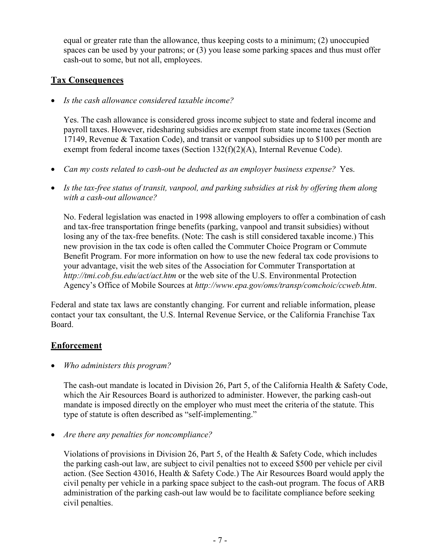equal or greater rate than the allowance, thus keeping costs to a minimum; (2) unoccupied spaces can be used by your patrons; or (3) you lease some parking spaces and thus must offer cash-out to some, but not all, employees.

#### **Tax Consequences**

• *Is the cash allowance considered taxable income?*

Yes. The cash allowance is considered gross income subject to state and federal income and payroll taxes. However, ridesharing subsidies are exempt from state income taxes (Section 17149, Revenue & Taxation Code), and transit or vanpool subsidies up to \$100 per month are exempt from federal income taxes (Section 132(f)(2)(A), Internal Revenue Code).

- *Can my costs related to cash-out be deducted as an employer business expense?* Yes.
- *Is the tax-free status of transit, vanpool, and parking subsidies at risk by offering them along with a cash-out allowance?*

No. Federal legislation was enacted in 1998 allowing employers to offer a combination of cash and tax-free transportation fringe benefits (parking, vanpool and transit subsidies) without losing any of the tax-free benefits. (Note: The cash is still considered taxable income.) This new provision in the tax code is often called the Commuter Choice Program or Commute Benefit Program. For more information on how to use the new federal tax code provisions to your advantage, visit the web sites of the Association for Commuter Transportation at *<http://tmi.cob.fsu.edu/act/act.htm>*or the web site of the U.S. Environmental Protection Agency's Office of Mobile Sources at *<http://www.epa.gov/oms/transp/comchoic/ccweb.htm>*.

Federal and state tax laws are constantly changing. For current and reliable information, please contact your tax consultant, the U.S. Internal Revenue Service, or the California Franchise Tax Board.

### **Enforcement**

• *Who administers this program?*

The cash-out mandate is located in Division 26, Part 5, of the California Health & Safety Code, which the Air Resources Board is authorized to administer. However, the parking cash-out mandate is imposed directly on the employer who must meet the criteria of the statute. This type of statute is often described as "self-implementing."

• *Are there any penalties for noncompliance?*

Violations of provisions in Division 26, Part 5, of the Health & Safety Code, which includes the parking cash-out law, are subject to civil penalties not to exceed \$500 per vehicle per civil action. (See Section 43016, Health & Safety Code.) The Air Resources Board would apply the civil penalty per vehicle in a parking space subject to the cash-out program. The focus of ARB administration of the parking cash-out law would be to facilitate compliance before seeking civil penalties.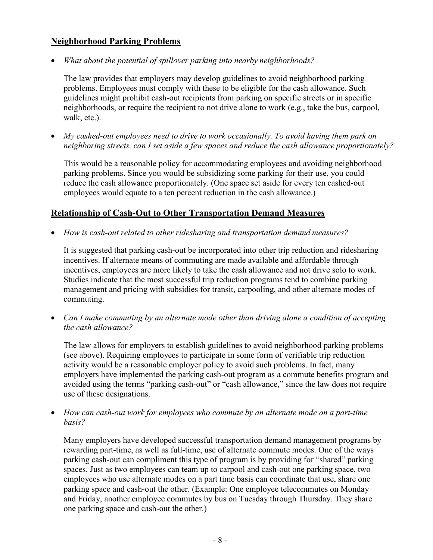#### **Neighborhood Parking Problems**

• *What about the potential of spillover parking into nearby neighborhoods?* 

The law provides that employers may develop guidelines to avoid neighborhood parking problems. Employees must comply with these to be eligible for the cash allowance. Such guidelines might prohibit cash-out recipients from parking on specific streets or in specific neighborhoods, or require the recipient to not drive alone to work (e.g., take the bus, carpool, walk, etc.).

• *My cashed-out employees need to drive to work occasionally. To avoid having them park on neighboring streets, can I set aside a few spaces and reduce the cash allowance proportionately?*

This would be a reasonable policy for accommodating employees and avoiding neighborhood parking problems. Since you would be subsidizing some parking for their use, you could reduce the cash allowance proportionately. (One space set aside for every ten cashed-out employees would equate to a ten percent reduction in the cash allowance.)

#### **Relationship of Cash-Out to Other Transportation Demand Measures**

• *How is cash-out related to other ridesharing and transportation demand measures?*

It is suggested that parking cash-out be incorporated into other trip reduction and ridesharing incentives. If alternate means of commuting are made available and affordable through incentives, employees are more likely to take the cash allowance and not drive solo to work. Studies indicate that the most successful trip reduction programs tend to combine parking management and pricing with subsidies for transit, carpooling, and other alternate modes of commuting.

• *Can I make commuting by an alternate mode other than driving alone a condition of accepting the cash allowance?*

The law allows for employers to establish guidelines to avoid neighborhood parking problems (see above). Requiring employees to participate in some form of verifiable trip reduction activity would be a reasonable employer policy to avoid such problems. In fact, many employers have implemented the parking cash-out program as a commute benefits program and avoided using the terms "parking cash-out" or "cash allowance," since the law does not require use of these designations.

• *How can cash-out work for employees who commute by an alternate mode on a part-time basis?*

Many employers have developed successful transportation demand management programs by rewarding part-time, as well as full-time, use of alternate commute modes. One of the ways parking cash-out can compliment this type of program is by providing for "shared" parking spaces. Just as two employees can team up to carpool and cash-out one parking space, two employees who use alternate modes on a part time basis can coordinate that use, share one parking space and cash-out the other. (Example: One employee telecommutes on Monday and Friday, another employee commutes by bus on Tuesday through Thursday. They share one parking space and cash-out the other.)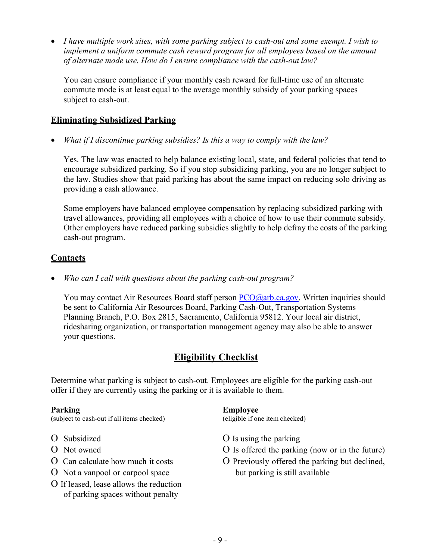• *I have multiple work sites, with some parking subject to cash-out and some exempt. I wish to implement a uniform commute cash reward program for all employees based on the amount of alternate mode use. How do I ensure compliance with the cash-out law?*

You can ensure compliance if your monthly cash reward for full-time use of an alternate commute mode is at least equal to the average monthly subsidy of your parking spaces subject to cash-out.

#### **Eliminating Subsidized Parking**

• *What if I discontinue parking subsidies? Is this a way to comply with the law?*

Yes. The law was enacted to help balance existing local, state, and federal policies that tend to encourage subsidized parking. So if you stop subsidizing parking, you are no longer subject to the law. Studies show that paid parking has about the same impact on reducing solo driving as providing a cash allowance.

Some employers have balanced employee compensation by replacing subsidized parking with travel allowances, providing all employees with a choice of how to use their commute subsidy. Other employers have reduced parking subsidies slightly to help defray the costs of the parking cash-out program.

### **Contacts**

• *Who can I call with questions about the parking cash-out program?*

You may contact Air Resources Board staff person  $PCO(\partial a$ rb.ca.gov. Written inquiries should be sent to California Air Resources Board, Parking Cash-Out, Transportation Systems Planning Branch, P.O. Box 2815, Sacramento, California 95812. Your local air district, ridesharing organization, or transportation management agency may also be able to answer your questions.

## **Eligibility Checklist**

Determine what parking is subject to cash-out. Employees are eligible for the parking cash-out offer if they are currently using the parking or it is available to them.

(subject to cash-out if all items checked) (eligible if <u>one</u> item checked)

- 
- 
- 
- O Not a vanpool or carpool space but parking is still available
- O If leased, lease allows the reduction of parking spaces without penalty

#### **Parking Employee**

- O Subsidized  $\overline{O}$  Is using the parking
- O Not owned O Is offerred the parking (now or in the future)
- O Can calculate how much it costs O Previously offered the parking but declined,